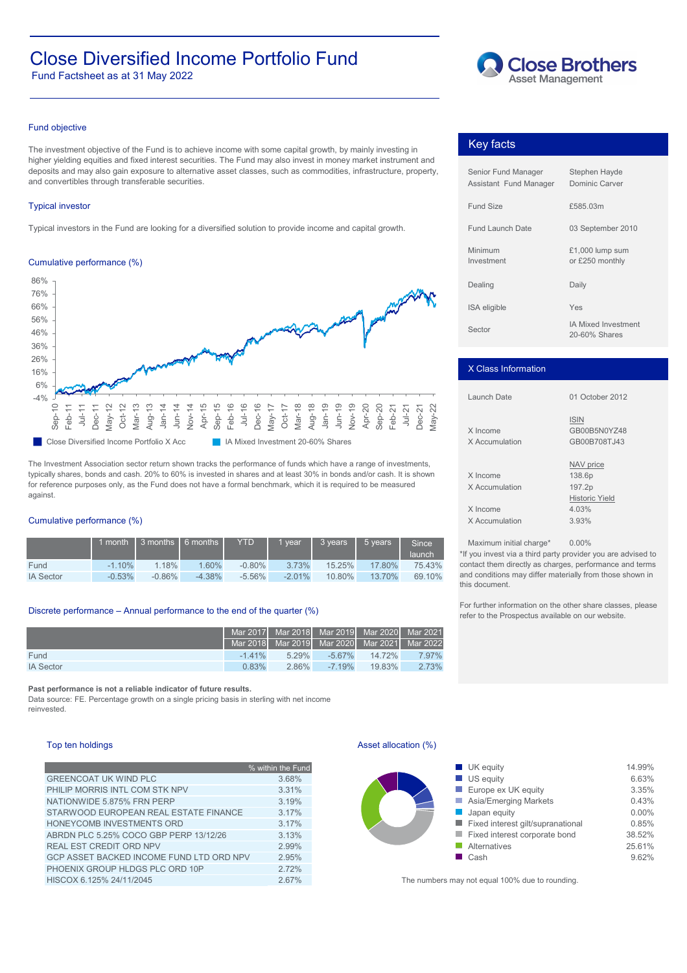# Close Diversified Income Portfolio Fund **Close Brothers**

Fund Factsheet as at 31 May 2022



## Fund objective

The investment objective of the Fund is to achieve income with some capital growth, by mainly investing in higher yielding equities and fixed interest securities. The Fund may also invest in money market instrument and deposits and may also gain exposure to alternative asset classes, such as commodities, infrastructure, property, and convertibles through transferable securities.

### **Typical investor**

Typical investors in the Fund are looking for a diversified solution to provide income and capital growth.

## Cumulative performance (%)



The Investment Association sector return shown tracks the performance of funds which have a range of investments, typically shares, bonds and cash. 20% to 60% is invested in shares and at least 30% in bonds and/or cash. It is shown for reference purposes only, as the Fund does not have a formal benchmark, which it is required to be measured against.

## Cumulative performance (%)

|                  |          | 1 month 1 3 months 1 6 months 1 |          | <b>YTD</b> | vear     | 3 years | 5 vears | <b>Since</b><br>launch |
|------------------|----------|---------------------------------|----------|------------|----------|---------|---------|------------------------|
| Fund             | $-1.10%$ | 1.18%                           | $1.60\%$ | $-0.80\%$  | 3.73%    | 15.25%  | 17.80%  | 75.43%                 |
| <b>IA Sector</b> | $-0.53%$ | $-0.86\%$                       | $-4.38%$ | $-5.56\%$  | $-2.01%$ | 10.80%  | 13.70%  | 69.10%                 |

## Discrete performance – Annual performance to the end of the quarter (%)

|                  |                                              |         |         | Mar 2017   Mar 2018   Mar 2019   Mar 2020   Mar 2021 |       |
|------------------|----------------------------------------------|---------|---------|------------------------------------------------------|-------|
|                  | Mar 2018 Mar 2019 Mar 2020 Mar 2021 Mar 2022 |         |         |                                                      |       |
| Fund             | $-141%$                                      | $529\%$ |         | $-5.67\%$ $14.72\%$                                  | 7.97% |
| <b>IA Sector</b> | 0.83%                                        | 286%    | $-719%$ | 1983%                                                | 2.73% |

**Past performance is not a reliable indicator of future results.**

Data source: FE. Percentage growth on a single pricing basis in sterling with net income reinvested.

## Top ten holdings

|                                          | % within the Fund |
|------------------------------------------|-------------------|
| <b>GREENCOAT UK WIND PLC</b>             | 3.68%             |
| PHILIP MORRIS INTL COM STK NPV           | 3.31%             |
| NATIONWIDE 5.875% FRN PERP               | 3.19%             |
| STARWOOD EUROPEAN REAL ESTATE FINANCE    | 3.17%             |
| HONEYCOMB INVESTMENTS ORD                | 3.17%             |
| ABRDN PLC 5.25% COCO GBP PERP 13/12/26   | 3.13%             |
| <b>REAL EST CREDIT ORD NPV</b>           | 2.99%             |
| GCP ASSET BACKED INCOME FUND LTD ORD NPV | 2.95%             |
| PHOENIX GROUP HLDGS PLC ORD 10P          | 2.72%             |
| HISCOX 6.125% 24/11/2045                 | 2.67%             |

## Key facts

| Senior Fund Manager<br>Assistant Fund Manager | Stephen Hayde<br>Dominic Carver             |
|-----------------------------------------------|---------------------------------------------|
| Fund Size                                     | £585.03m                                    |
| <b>Fund Launch Date</b>                       | 03 September 2010                           |
| Minimum<br>Investment                         | $£1,000$ lump sum<br>or £250 monthly        |
| Dealing                                       | Daily                                       |
| <b>ISA</b> eligible                           | Yes                                         |
| Sector                                        | <b>IA Mixed Investment</b><br>20-60% Shares |

## X Class Information

| Launch Date                | 01 October 2012                             |  |  |  |
|----------------------------|---------------------------------------------|--|--|--|
| X Income<br>X Accumulation | <b>ISIN</b><br>GB00B5N0YZ48<br>GB00B708TJ43 |  |  |  |
|                            | NAV price                                   |  |  |  |
| X Income                   | 138.6p                                      |  |  |  |
| X Accumulation             | 197.2p                                      |  |  |  |
|                            | <b>Historic Yield</b>                       |  |  |  |
| X Income                   | 4.03%                                       |  |  |  |
| X Accumulation             | 3.93%                                       |  |  |  |
|                            |                                             |  |  |  |

Maximum initial charge\*  $0.00\%$ 

\*If you invest via a third party provider you are advised to contact them directly as charges, performance and terms and conditions may differ materially from those shown in this document.

For further information on the other share classes, please refer to the Prospectus available on our website.

## Asset allocation (%)

| % within the Fund |
|-------------------|
| 3.68%             |
| 3.31%             |
| 3.19%             |
| 3.17%             |
| 3.17%             |
| 3.13%             |
| 2.99%             |
| 2.95%             |
|                   |

The numbers may not equal 100% due to rounding.